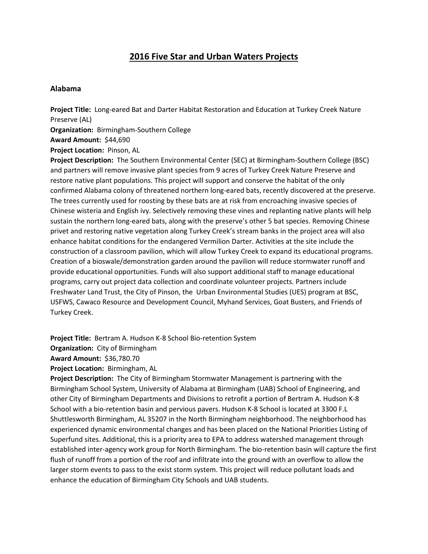# **2016 Five Star and Urban Waters Projects**

### **Alabama**

**Project Title:** Long-eared Bat and Darter Habitat Restoration and Education at Turkey Creek Nature Preserve (AL)

**Organization:** Birmingham-Southern College

**Award Amount:** \$44,690

**Project Location:** Pinson, AL

**Project Description:** The Southern Environmental Center (SEC) at Birmingham-Southern College (BSC) and partners will remove invasive plant species from 9 acres of Turkey Creek Nature Preserve and restore native plant populations. This project will support and conserve the habitat of the only confirmed Alabama colony of threatened northern long-eared bats, recently discovered at the preserve. The trees currently used for roosting by these bats are at risk from encroaching invasive species of Chinese wisteria and English ivy. Selectively removing these vines and replanting native plants will help sustain the northern long-eared bats, along with the preserve's other 5 bat species. Removing Chinese privet and restoring native vegetation along Turkey Creek's stream banks in the project area will also enhance habitat conditions for the endangered Vermilion Darter. Activities at the site include the construction of a classroom pavilion, which will allow Turkey Creek to expand its educational programs. Creation of a bioswale/demonstration garden around the pavilion will reduce stormwater runoff and provide educational opportunities. Funds will also support additional staff to manage educational programs, carry out project data collection and coordinate volunteer projects. Partners include Freshwater Land Trust, the City of Pinson, the Urban Environmental Studies (UES) program at BSC, USFWS, Cawaco Resource and Development Council, Myhand Services, Goat Busters, and Friends of Turkey Creek.

**Project Title:** Bertram A. Hudson K-8 School Bio-retention System

**Organization:** City of Birmingham

**Award Amount:** \$36,780.70

**Project Location:** Birmingham, AL

**Project Description:** The City of Birmingham Stormwater Management is partnering with the Birmingham School System, University of Alabama at Birmingham (UAB) School of Engineering, and other City of Birmingham Departments and Divisions to retrofit a portion of Bertram A. Hudson K-8 School with a bio-retention basin and pervious pavers. Hudson K-8 School is located at 3300 F.L Shuttlesworth Birmingham, AL 35207 in the North Birmingham neighborhood. The neighborhood has experienced dynamic environmental changes and has been placed on the National Priorities Listing of Superfund sites. Additional, this is a priority area to EPA to address watershed management through established inter-agency work group for North Birmingham. The bio-retention basin will capture the first flush of runoff from a portion of the roof and infiltrate into the ground with an overflow to allow the larger storm events to pass to the exist storm system. This project will reduce pollutant loads and enhance the education of Birmingham City Schools and UAB students.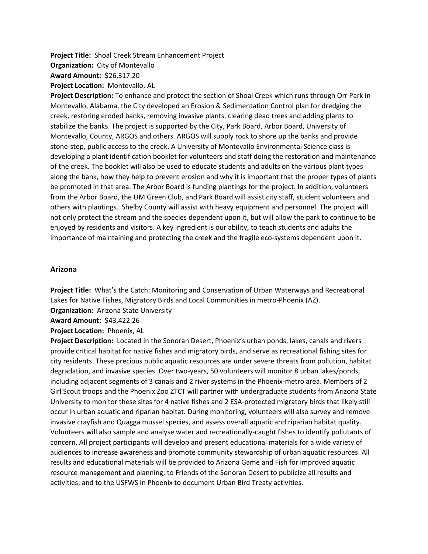**Project Title:** Shoal Creek Stream Enhancement Project **Organization:** City of Montevallo **Award Amount:** \$26,317.20 **Project Location:** Montevallo, AL

**Project Description:** To enhance and protect the section of Shoal Creek which runs through Orr Park in Montevallo, Alabama, the City developed an Erosion & Sedimentation Control plan for dredging the creek, restoring eroded banks, removing invasive plants, clearing dead trees and adding plants to stabilize the banks. The project is supported by the City, Park Board, Arbor Board, University of Montevallo, County, ARGOS and others. ARGOS will supply rock to shore up the banks and provide stone-step, public access to the creek. A University of Montevallo Environmental Science class is developing a plant identification booklet for volunteers and staff doing the restoration and maintenance of the creek. The booklet will also be used to educate students and adults on the various plant types along the bank, how they help to prevent erosion and why it is important that the proper types of plants be promoted in that area. The Arbor Board is funding plantings for the project. In addition, volunteers from the Arbor Board, the UM Green Club, and Park Board will assist city staff, student volunteers and others with plantings. Shelby County will assist with heavy equipment and personnel. The project will not only protect the stream and the species dependent upon it, but will allow the park to continue to be enjoyed by residents and visitors. A key ingredient is our ability, to teach students and adults the importance of maintaining and protecting the creek and the fragile eco-systems dependent upon it.

### **Arizona**

**Project Title:** What's the Catch: Monitoring and Conservation of Urban Waterways and Recreational Lakes for Native Fishes, Migratory Birds and Local Communities in metro-Phoenix (AZ). **Organization:** Arizona State University

**Award Amount:** \$43,422.26

**Project Location:** Phoenix, AL

**Project Description:** Located in the Sonoran Desert, Phoenix's urban ponds, lakes, canals and rivers provide critical habitat for native fishes and migratory birds, and serve as recreational fishing sites for city residents. These precious public aquatic resources are under severe threats from pollution, habitat degradation, and invasive species. Over two-years, 50 volunteers will monitor 8 urban lakes/ponds, including adjacent segments of 3 canals and 2 river systems in the Phoenix-metro area. Members of 2 Girl Scout troops and the Phoenix Zoo ZTCT will partner with undergraduate students from Arizona State University to monitor these sites for 4 native fishes and 2 ESA-protected migratory birds that likely still occur in urban aquatic and riparian habitat. During monitoring, volunteers will also survey and remove invasive crayfish and Quagga mussel species, and assess overall aquatic and riparian habitat quality. Volunteers will also sample and analyse water and recreationally-caught fishes to identify pollutants of concern. All project participants will develop and present educational materials for a wide variety of audiences to increase awareness and promote community stewardship of urban aquatic resources. All results and educational materials will be provided to Arizona Game and Fish for improved aquatic resource management and planning; to Friends of the Sonoran Desert to publicize all results and activities; and to the USFWS in Phoenix to document Urban Bird Treaty activities.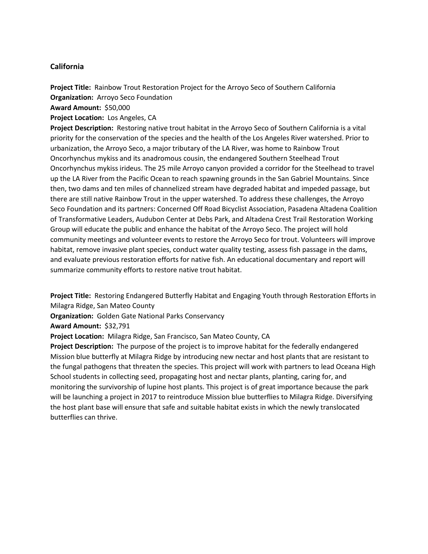# **California**

**Project Title:** Rainbow Trout Restoration Project for the Arroyo Seco of Southern California **Organization:** Arroyo Seco Foundation

**Award Amount:** \$50,000

**Project Location:** Los Angeles, CA

**Project Description:** Restoring native trout habitat in the Arroyo Seco of Southern California is a vital priority for the conservation of the species and the health of the Los Angeles River watershed. Prior to urbanization, the Arroyo Seco, a major tributary of the LA River, was home to Rainbow Trout Oncorhynchus mykiss and its anadromous cousin, the endangered Southern Steelhead Trout Oncorhynchus mykiss irideus. The 25 mile Arroyo canyon provided a corridor for the Steelhead to travel up the LA River from the Pacific Ocean to reach spawning grounds in the San Gabriel Mountains. Since then, two dams and ten miles of channelized stream have degraded habitat and impeded passage, but there are still native Rainbow Trout in the upper watershed. To address these challenges, the Arroyo Seco Foundation and its partners: Concerned Off Road Bicyclist Association, Pasadena Altadena Coalition of Transformative Leaders, Audubon Center at Debs Park, and Altadena Crest Trail Restoration Working Group will educate the public and enhance the habitat of the Arroyo Seco. The project will hold community meetings and volunteer events to restore the Arroyo Seco for trout. Volunteers will improve habitat, remove invasive plant species, conduct water quality testing, assess fish passage in the dams, and evaluate previous restoration efforts for native fish. An educational documentary and report will summarize community efforts to restore native trout habitat.

**Project Title:** Restoring Endangered Butterfly Habitat and Engaging Youth through Restoration Efforts in Milagra Ridge, San Mateo County

**Organization:** Golden Gate National Parks Conservancy

**Award Amount:** \$32,791

**Project Location:** Milagra Ridge, San Francisco, San Mateo County, CA

**Project Description:** The purpose of the project is to improve habitat for the federally endangered Mission blue butterfly at Milagra Ridge by introducing new nectar and host plants that are resistant to the fungal pathogens that threaten the species. This project will work with partners to lead Oceana High School students in collecting seed, propagating host and nectar plants, planting, caring for, and monitoring the survivorship of lupine host plants. This project is of great importance because the park will be launching a project in 2017 to reintroduce Mission blue butterflies to Milagra Ridge. Diversifying the host plant base will ensure that safe and suitable habitat exists in which the newly translocated butterflies can thrive.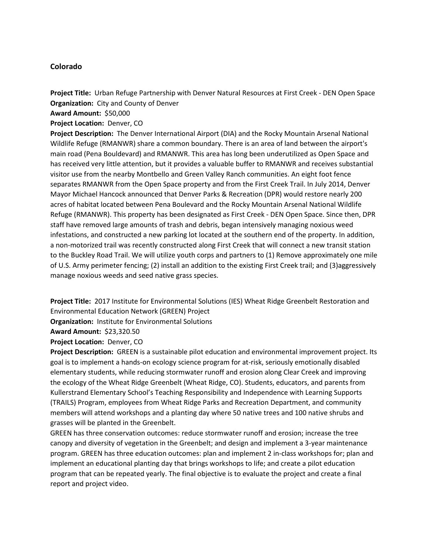### **Colorado**

**Project Title:** Urban Refuge Partnership with Denver Natural Resources at First Creek - DEN Open Space **Organization:** City and County of Denver

**Award Amount:** \$50,000

**Project Location:** Denver, CO

**Project Description:** The Denver International Airport (DIA) and the Rocky Mountain Arsenal National Wildlife Refuge (RMANWR) share a common boundary. There is an area of land between the airport's main road (Pena Bouldevard) and RMANWR. This area has long been underutilized as Open Space and has received very little attention, but it provides a valuable buffer to RMANWR and receives substantial visitor use from the nearby Montbello and Green Valley Ranch communities. An eight foot fence separates RMANWR from the Open Space property and from the First Creek Trail. In July 2014, Denver Mayor Michael Hancock announced that Denver Parks & Recreation (DPR) would restore nearly 200 acres of habitat located between Pena Boulevard and the Rocky Mountain Arsenal National Wildlife Refuge (RMANWR). This property has been designated as First Creek - DEN Open Space. Since then, DPR staff have removed large amounts of trash and debris, began intensively managing noxious weed infestations, and constructed a new parking lot located at the southern end of the property. In addition, a non-motorized trail was recently constructed along First Creek that will connect a new transit station to the Buckley Road Trail. We will utilize youth corps and partners to (1) Remove approximately one mile of U.S. Army perimeter fencing; (2) install an addition to the existing First Creek trail; and (3)aggressively manage noxious weeds and seed native grass species.

**Project Title:** 2017 Institute for Environmental Solutions (IES) Wheat Ridge Greenbelt Restoration and Environmental Education Network (GREEN) Project

**Organization:** Institute for Environmental Solutions

**Award Amount:** \$23,320.50

**Project Location:** Denver, CO

**Project Description:** GREEN is a sustainable pilot education and environmental improvement project. Its goal is to implement a hands-on ecology science program for at-risk, seriously emotionally disabled elementary students, while reducing stormwater runoff and erosion along Clear Creek and improving the ecology of the Wheat Ridge Greenbelt (Wheat Ridge, CO). Students, educators, and parents from Kullerstrand Elementary School's Teaching Responsibility and Independence with Learning Supports (TRAILS) Program, employees from Wheat Ridge Parks and Recreation Department, and community members will attend workshops and a planting day where 50 native trees and 100 native shrubs and grasses will be planted in the Greenbelt.

GREEN has three conservation outcomes: reduce stormwater runoff and erosion; increase the tree canopy and diversity of vegetation in the Greenbelt; and design and implement a 3-year maintenance program. GREEN has three education outcomes: plan and implement 2 in-class workshops for; plan and implement an educational planting day that brings workshops to life; and create a pilot education program that can be repeated yearly. The final objective is to evaluate the project and create a final report and project video.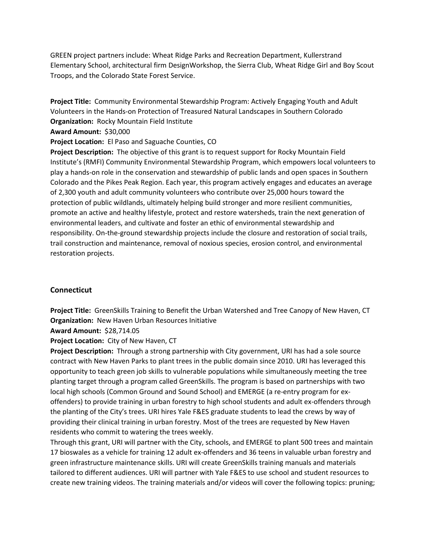GREEN project partners include: Wheat Ridge Parks and Recreation Department, Kullerstrand Elementary School, architectural firm DesignWorkshop, the Sierra Club, Wheat Ridge Girl and Boy Scout Troops, and the Colorado State Forest Service.

**Project Title:** Community Environmental Stewardship Program: Actively Engaging Youth and Adult Volunteers in the Hands-on Protection of Treasured Natural Landscapes in Southern Colorado **Organization:** Rocky Mountain Field Institute

**Award Amount:** \$30,000

**Project Location:** El Paso and Saguache Counties, CO

**Project Description:** The objective of this grant is to request support for Rocky Mountain Field Institute's (RMFI) Community Environmental Stewardship Program, which empowers local volunteers to play a hands-on role in the conservation and stewardship of public lands and open spaces in Southern Colorado and the Pikes Peak Region. Each year, this program actively engages and educates an average of 2,300 youth and adult community volunteers who contribute over 25,000 hours toward the protection of public wildlands, ultimately helping build stronger and more resilient communities, promote an active and healthy lifestyle, protect and restore watersheds, train the next generation of environmental leaders, and cultivate and foster an ethic of environmental stewardship and responsibility. On-the-ground stewardship projects include the closure and restoration of social trails, trail construction and maintenance, removal of noxious species, erosion control, and environmental restoration projects.

# **Connecticut**

**Project Title:** GreenSkills Training to Benefit the Urban Watershed and Tree Canopy of New Haven, CT **Organization:** New Haven Urban Resources Initiative

**Award Amount:** \$28,714.05

# **Project Location:** City of New Haven, CT

**Project Description:** Through a strong partnership with City government, URI has had a sole source contract with New Haven Parks to plant trees in the public domain since 2010. URI has leveraged this opportunity to teach green job skills to vulnerable populations while simultaneously meeting the tree planting target through a program called GreenSkills. The program is based on partnerships with two local high schools (Common Ground and Sound School) and EMERGE (a re-entry program for exoffenders) to provide training in urban forestry to high school students and adult ex-offenders through the planting of the City's trees. URI hires Yale F&ES graduate students to lead the crews by way of providing their clinical training in urban forestry. Most of the trees are requested by New Haven residents who commit to watering the trees weekly.

Through this grant, URI will partner with the City, schools, and EMERGE to plant 500 trees and maintain 17 bioswales as a vehicle for training 12 adult ex-offenders and 36 teens in valuable urban forestry and green infrastructure maintenance skills. URI will create GreenSkills training manuals and materials tailored to different audiences. URI will partner with Yale F&ES to use school and student resources to create new training videos. The training materials and/or videos will cover the following topics: pruning;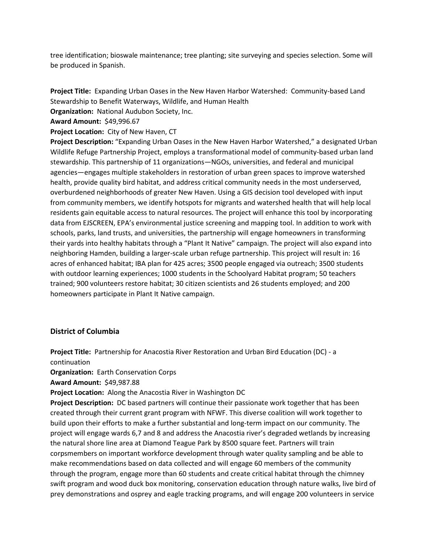tree identification; bioswale maintenance; tree planting; site surveying and species selection. Some will be produced in Spanish.

**Project Title:** Expanding Urban Oases in the New Haven Harbor Watershed: Community-based Land Stewardship to Benefit Waterways, Wildlife, and Human Health

**Organization:** National Audubon Society, Inc.

**Award Amount:** \$49,996.67

**Project Location:** City of New Haven, CT

**Project Description:** "Expanding Urban Oases in the New Haven Harbor Watershed," a designated Urban Wildlife Refuge Partnership Project, employs a transformational model of community-based urban land stewardship. This partnership of 11 organizations—NGOs, universities, and federal and municipal agencies—engages multiple stakeholders in restoration of urban green spaces to improve watershed health, provide quality bird habitat, and address critical community needs in the most underserved, overburdened neighborhoods of greater New Haven. Using a GIS decision tool developed with input from community members, we identify hotspots for migrants and watershed health that will help local residents gain equitable access to natural resources. The project will enhance this tool by incorporating data from EJSCREEN, EPA's environmental justice screening and mapping tool. In addition to work with schools, parks, land trusts, and universities, the partnership will engage homeowners in transforming their yards into healthy habitats through a "Plant It Native" campaign. The project will also expand into neighboring Hamden, building a larger-scale urban refuge partnership. This project will result in: 16 acres of enhanced habitat; IBA plan for 425 acres; 3500 people engaged via outreach; 3500 students with outdoor learning experiences; 1000 students in the Schoolyard Habitat program; 50 teachers trained; 900 volunteers restore habitat; 30 citizen scientists and 26 students employed; and 200 homeowners participate in Plant It Native campaign.

# **District of Columbia**

**Project Title:** Partnership for Anacostia River Restoration and Urban Bird Education (DC) - a continuation **Organization:** Earth Conservation Corps **Award Amount:** \$49,987.88 **Project Location:** Along the Anacostia River in Washington DC **Project Description:** DC based partners will continue their passionate work together that has been created through their current grant program with NFWF. This diverse coalition will work together to build upon their efforts to make a further substantial and long-term impact on our community. The project will engage wards 6,7 and 8 and address the Anacostia river's degraded wetlands by increasing the natural shore line area at Diamond Teague Park by 8500 square feet. Partners will train corpsmembers on important workforce development through water quality sampling and be able to make recommendations based on data collected and will engage 60 members of the community through the program, engage more than 60 students and create critical habitat through the chimney swift program and wood duck box monitoring, conservation education through nature walks, live bird of prey demonstrations and osprey and eagle tracking programs, and will engage 200 volunteers in service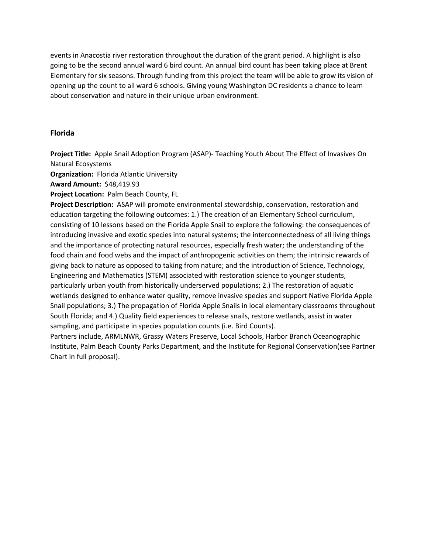events in Anacostia river restoration throughout the duration of the grant period. A highlight is also going to be the second annual ward 6 bird count. An annual bird count has been taking place at Brent Elementary for six seasons. Through funding from this project the team will be able to grow its vision of opening up the count to all ward 6 schools. Giving young Washington DC residents a chance to learn about conservation and nature in their unique urban environment.

### **Florida**

**Project Title:** Apple Snail Adoption Program (ASAP)- Teaching Youth About The Effect of Invasives On Natural Ecosystems

**Organization:** Florida Atlantic University

**Award Amount:** \$48,419.93

**Project Location:** Palm Beach County, FL

**Project Description:** ASAP will promote environmental stewardship, conservation, restoration and education targeting the following outcomes: 1.) The creation of an Elementary School curriculum, consisting of 10 lessons based on the Florida Apple Snail to explore the following: the consequences of introducing invasive and exotic species into natural systems; the interconnectedness of all living things and the importance of protecting natural resources, especially fresh water; the understanding of the food chain and food webs and the impact of anthropogenic activities on them; the intrinsic rewards of giving back to nature as opposed to taking from nature; and the introduction of Science, Technology, Engineering and Mathematics (STEM) associated with restoration science to younger students, particularly urban youth from historically underserved populations; 2.) The restoration of aquatic wetlands designed to enhance water quality, remove invasive species and support Native Florida Apple Snail populations; 3.) The propagation of Florida Apple Snails in local elementary classrooms throughout South Florida; and 4.) Quality field experiences to release snails, restore wetlands, assist in water sampling, and participate in species population counts (i.e. Bird Counts).

Partners include, ARMLNWR, Grassy Waters Preserve, Local Schools, Harbor Branch Oceanographic Institute, Palm Beach County Parks Department, and the Institute for Regional Conservation(see Partner Chart in full proposal).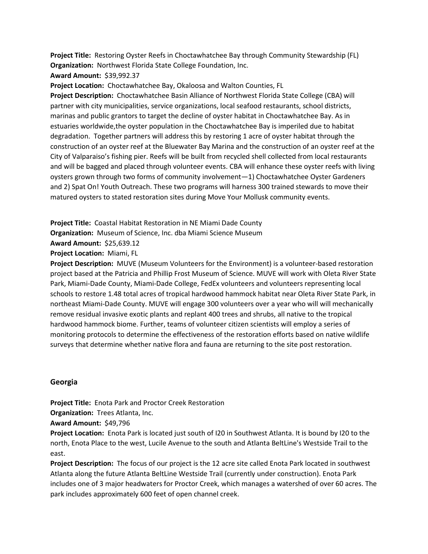**Project Title:** Restoring Oyster Reefs in Choctawhatchee Bay through Community Stewardship (FL) **Organization:** Northwest Florida State College Foundation, Inc.

**Award Amount:** \$39,992.37

**Project Location:** Choctawhatchee Bay, Okaloosa and Walton Counties, FL

**Project Description:** Choctawhatchee Basin Alliance of Northwest Florida State College (CBA) will partner with city municipalities, service organizations, local seafood restaurants, school districts, marinas and public grantors to target the decline of oyster habitat in Choctawhatchee Bay. As in estuaries worldwide,the oyster population in the Choctawhatchee Bay is imperiled due to habitat degradation. Together partners will address this by restoring 1 acre of oyster habitat through the construction of an oyster reef at the Bluewater Bay Marina and the construction of an oyster reef at the City of Valparaiso's fishing pier. Reefs will be built from recycled shell collected from local restaurants and will be bagged and placed through volunteer events. CBA will enhance these oyster reefs with living oysters grown through two forms of community involvement—1) Choctawhatchee Oyster Gardeners and 2) Spat On! Youth Outreach. These two programs will harness 300 trained stewards to move their matured oysters to stated restoration sites during Move Your Mollusk community events.

**Project Title:** Coastal Habitat Restoration in NE Miami Dade County **Organization:** Museum of Science, Inc. dba Miami Science Museum

**Award Amount:** \$25,639.12

**Project Location:** Miami, FL

**Project Description:** MUVE (Museum Volunteers for the Environment) is a volunteer-based restoration project based at the Patricia and Phillip Frost Museum of Science. MUVE will work with Oleta River State Park, Miami-Dade County, Miami-Dade College, FedEx volunteers and volunteers representing local schools to restore 1.48 total acres of tropical hardwood hammock habitat near Oleta River State Park, in northeast Miami-Dade County. MUVE will engage 300 volunteers over a year who will will mechanically remove residual invasive exotic plants and replant 400 trees and shrubs, all native to the tropical hardwood hammock biome. Further, teams of volunteer citizen scientists will employ a series of monitoring protocols to determine the effectiveness of the restoration efforts based on native wildlife surveys that determine whether native flora and fauna are returning to the site post restoration.

### **Georgia**

**Project Title:** Enota Park and Proctor Creek Restoration

**Organization:** Trees Atlanta, Inc.

**Award Amount:** \$49,796

**Project Location:** Enota Park is located just south of I20 in Southwest Atlanta. It is bound by I20 to the north, Enota Place to the west, Lucile Avenue to the south and Atlanta BeltLine's Westside Trail to the east.

**Project Description:** The focus of our project is the 12 acre site called Enota Park located in southwest Atlanta along the future Atlanta BeltLine Westside Trail (currently under construction). Enota Park includes one of 3 major headwaters for Proctor Creek, which manages a watershed of over 60 acres. The park includes approximately 600 feet of open channel creek.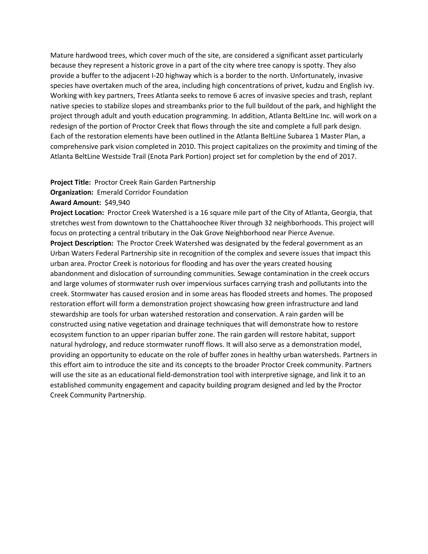Mature hardwood trees, which cover much of the site, are considered a significant asset particularly because they represent a historic grove in a part of the city where tree canopy is spotty. They also provide a buffer to the adjacent I-20 highway which is a border to the north. Unfortunately, invasive species have overtaken much of the area, including high concentrations of privet, kudzu and English ivy. Working with key partners, Trees Atlanta seeks to remove 6 acres of invasive species and trash, replant native species to stabilize slopes and streambanks prior to the full buildout of the park, and highlight the project through adult and youth education programming. In addition, Atlanta BeltLine Inc. will work on a redesign of the portion of Proctor Creek that flows through the site and complete a full park design. Each of the restoration elements have been outlined in the Atlanta BeltLine Subarea 1 Master Plan, a comprehensive park vision completed in 2010. This project capitalizes on the proximity and timing of the Atlanta BeltLine Westside Trail (Enota Park Portion) project set for completion by the end of 2017.

#### **Project Title:** Proctor Creek Rain Garden Partnership

### **Organization:** Emerald Corridor Foundation

#### **Award Amount:** \$49,940

**Project Location:** Proctor Creek Watershed is a 16 square mile part of the City of Atlanta, Georgia, that stretches west from downtown to the Chattahoochee River through 32 neighborhoods. This project will focus on protecting a central tributary in the Oak Grove Neighborhood near Pierce Avenue.

**Project Description:** The Proctor Creek Watershed was designated by the federal government as an Urban Waters Federal Partnership site in recognition of the complex and severe issues that impact this urban area. Proctor Creek is notorious for flooding and has over the years created housing abandonment and dislocation of surrounding communities. Sewage contamination in the creek occurs and large volumes of stormwater rush over impervious surfaces carrying trash and pollutants into the creek. Stormwater has caused erosion and in some areas has flooded streets and homes. The proposed restoration effort will form a demonstration project showcasing how green infrastructure and land stewardship are tools for urban watershed restoration and conservation. A rain garden will be constructed using native vegetation and drainage techniques that will demonstrate how to restore ecosystem function to an upper riparian buffer zone. The rain garden will restore habitat, support natural hydrology, and reduce stormwater runoff flows. It will also serve as a demonstration model, providing an opportunity to educate on the role of buffer zones in healthy urban watersheds. Partners in this effort aim to introduce the site and its concepts to the broader Proctor Creek community. Partners will use the site as an educational field-demonstration tool with interpretive signage, and link it to an established community engagement and capacity building program designed and led by the Proctor Creek Community Partnership.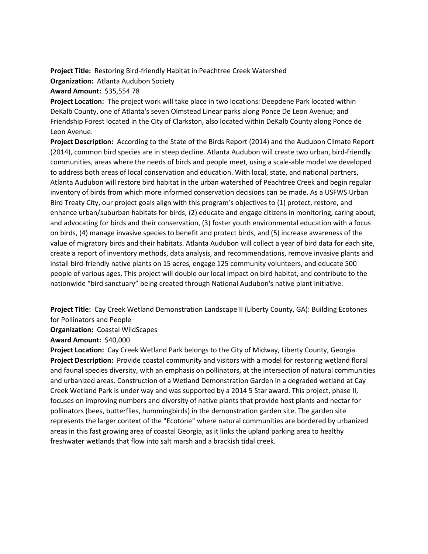**Project Title:** Restoring Bird-friendly Habitat in Peachtree Creek Watershed **Organization:** Atlanta Audubon Society

### **Award Amount:** \$35,554.78

**Project Location:** The project work will take place in two locations: Deepdene Park located within DeKalb County, one of Atlanta's seven Olmstead Linear parks along Ponce De Leon Avenue; and Friendship Forest located in the City of Clarkston, also located within DeKalb County along Ponce de Leon Avenue.

**Project Description:** According to the State of the Birds Report (2014) and the Audubon Climate Report (2014), common bird species are in steep decline. Atlanta Audubon will create two urban, bird-friendly communities, areas where the needs of birds and people meet, using a scale-able model we developed to address both areas of local conservation and education. With local, state, and national partners, Atlanta Audubon will restore bird habitat in the urban watershed of Peachtree Creek and begin regular inventory of birds from which more informed conservation decisions can be made. As a USFWS Urban Bird Treaty City, our project goals align with this program's objectives to (1) protect, restore, and enhance urban/suburban habitats for birds, (2) educate and engage citizens in monitoring, caring about, and advocating for birds and their conservation, (3) foster youth environmental education with a focus on birds, (4) manage invasive species to benefit and protect birds, and (5) increase awareness of the value of migratory birds and their habitats. Atlanta Audubon will collect a year of bird data for each site, create a report of inventory methods, data analysis, and recommendations, remove invasive plants and install bird-friendly native plants on 15 acres, engage 125 community volunteers, and educate 500 people of various ages. This project will double our local impact on bird habitat, and contribute to the nationwide "bird sanctuary" being created through National Audubon's native plant initiative.

**Project Title:** Cay Creek Wetland Demonstration Landscape II (Liberty County, GA): Building Ecotones for Pollinators and People

**Organization:** Coastal WildScapes

**Award Amount:** \$40,000

**Project Location:** Cay Creek Wetland Park belongs to the City of Midway, Liberty County, Georgia. **Project Description:** Provide coastal community and visitors with a model for restoring wetland floral and faunal species diversity, with an emphasis on pollinators, at the intersection of natural communities and urbanized areas. Construction of a Wetland Demonstration Garden in a degraded wetland at Cay Creek Wetland Park is under way and was supported by a 2014 5 Star award. This project, phase II, focuses on improving numbers and diversity of native plants that provide host plants and nectar for pollinators (bees, butterflies, hummingbirds) in the demonstration garden site. The garden site represents the larger context of the "Ecotone" where natural communities are bordered by urbanized areas in this fast growing area of coastal Georgia, as it links the upland parking area to healthy freshwater wetlands that flow into salt marsh and a brackish tidal creek.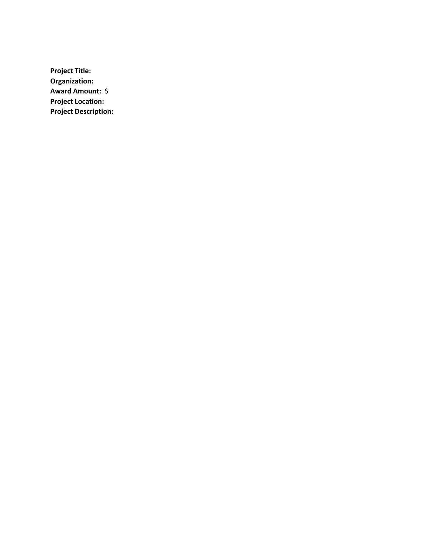**Project Title: Organization: Award Amount:** \$ **Project Location: Project Description:**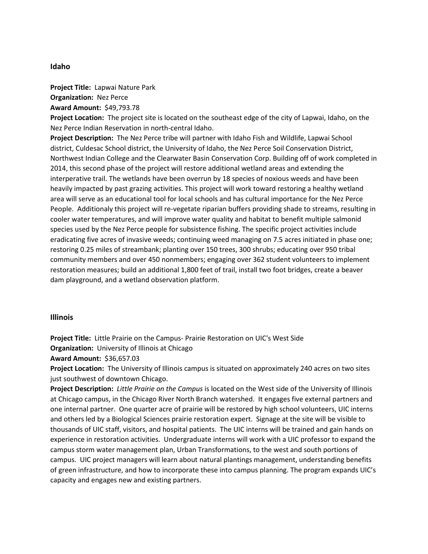### **Idaho**

**Project Title:** Lapwai Nature Park

**Organization:** Nez Perce

**Award Amount:** \$49,793.78

**Project Location:** The project site is located on the southeast edge of the city of Lapwai, Idaho, on the Nez Perce Indian Reservation in north-central Idaho.

**Project Description:** The Nez Perce tribe will partner with Idaho Fish and Wildlife, Lapwai School district, Culdesac School district, the University of Idaho, the Nez Perce Soil Conservation District, Northwest Indian College and the Clearwater Basin Conservation Corp. Building off of work completed in 2014, this second phase of the project will restore additional wetland areas and extending the interperative trail. The wetlands have been overrun by 18 species of noxious weeds and have been heavily impacted by past grazing activities. This project will work toward restoring a healthy wetland area will serve as an educational tool for local schools and has cultural importance for the Nez Perce People. Additionaly this project will re-vegetate riparian buffers providing shade to streams, resulting in cooler water temperatures, and will improve water quality and habitat to benefit multiple salmonid species used by the Nez Perce people for subsistence fishing. The specific project activities include eradicating five acres of invasive weeds; continuing weed managing on 7.5 acres initiated in phase one; restoring 0.25 miles of streambank; planting over 150 trees, 300 shrubs; educating over 950 tribal community members and over 450 nonmembers; engaging over 362 student volunteers to implement restoration measures; build an additional 1,800 feet of trail, install two foot bridges, create a beaver dam playground, and a wetland observation platform.

### **Illinois**

**Project Title:** Little Prairie on the Campus- Prairie Restoration on UIC's West Side

**Organization:** University of Illinois at Chicago

**Award Amount:** \$36,657.03

**Project Location:** The University of Illinois campus is situated on approximately 240 acres on two sites just southwest of downtown Chicago.

**Project Description:** *Little Prairie on the Campus* is located on the West side of the University of Illinois at Chicago campus, in the Chicago River North Branch watershed. It engages five external partners and one internal partner. One quarter acre of prairie will be restored by high school volunteers, UIC interns and others led by a Biological Sciences prairie restoration expert. Signage at the site will be visible to thousands of UIC staff, visitors, and hospital patients. The UIC interns will be trained and gain hands on experience in restoration activities. Undergraduate interns will work with a UIC professor to expand the campus storm water management plan, Urban Transformations, to the west and south portions of campus. UIC project managers will learn about natural plantings management, understanding benefits of green infrastructure, and how to incorporate these into campus planning. The program expands UIC's capacity and engages new and existing partners.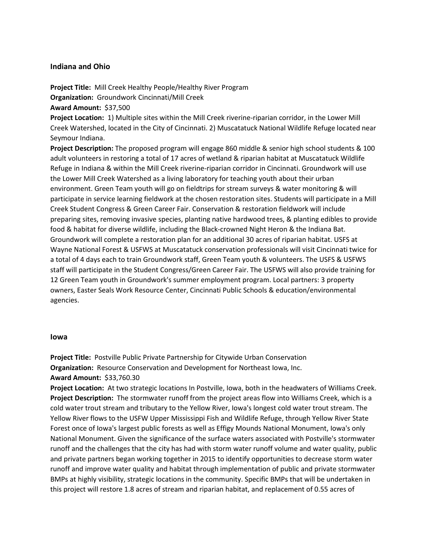### **Indiana and Ohio**

**Project Title:** Mill Creek Healthy People/Healthy River Program **Organization:** Groundwork Cincinnati/Mill Creek

**Award Amount:** \$37,500

**Project Location:** 1) Multiple sites within the Mill Creek riverine-riparian corridor, in the Lower Mill Creek Watershed, located in the City of Cincinnati. 2) Muscatatuck National Wildlife Refuge located near Seymour Indiana.

**Project Description:** The proposed program will engage 860 middle & senior high school students & 100 adult volunteers in restoring a total of 17 acres of wetland & riparian habitat at Muscatatuck Wildlife Refuge in Indiana & within the Mill Creek riverine-riparian corridor in Cincinnati. Groundwork will use the Lower Mill Creek Watershed as a living laboratory for teaching youth about their urban environment. Green Team youth will go on fieldtrips for stream surveys & water monitoring & will participate in service learning fieldwork at the chosen restoration sites. Students will participate in a Mill Creek Student Congress & Green Career Fair. Conservation & restoration fieldwork will include preparing sites, removing invasive species, planting native hardwood trees, & planting edibles to provide food & habitat for diverse wildlife, including the Black-crowned Night Heron & the Indiana Bat. Groundwork will complete a restoration plan for an additional 30 acres of riparian habitat. USFS at Wayne National Forest & USFWS at Muscatatuck conservation professionals will visit Cincinnati twice for a total of 4 days each to train Groundwork staff, Green Team youth & volunteers. The USFS & USFWS staff will participate in the Student Congress/Green Career Fair. The USFWS will also provide training for 12 Green Team youth in Groundwork's summer employment program. Local partners: 3 property owners, Easter Seals Work Resource Center, Cincinnati Public Schools & education/environmental agencies.

#### **Iowa**

**Project Title:** Postville Public Private Partnership for Citywide Urban Conservation **Organization:** Resource Conservation and Development for Northeast Iowa, Inc. **Award Amount:** \$33,760.30

**Project Location:** At two strategic locations In Postville, Iowa, both in the headwaters of Williams Creek. **Project Description:** The stormwater runoff from the project areas flow into Williams Creek, which is a cold water trout stream and tributary to the Yellow River, Iowa's longest cold water trout stream. The Yellow River flows to the USFW Upper Mississippi Fish and Wildlife Refuge, through Yellow River State Forest once of Iowa's largest public forests as well as Effigy Mounds National Monument, Iowa's only National Monument. Given the significance of the surface waters associated with Postville's stormwater runoff and the challenges that the city has had with storm water runoff volume and water quality, public and private partners began working together in 2015 to identify opportunities to decrease storm water runoff and improve water quality and habitat through implementation of public and private stormwater BMPs at highly visibility, strategic locations in the community. Specific BMPs that will be undertaken in this project will restore 1.8 acres of stream and riparian habitat, and replacement of 0.55 acres of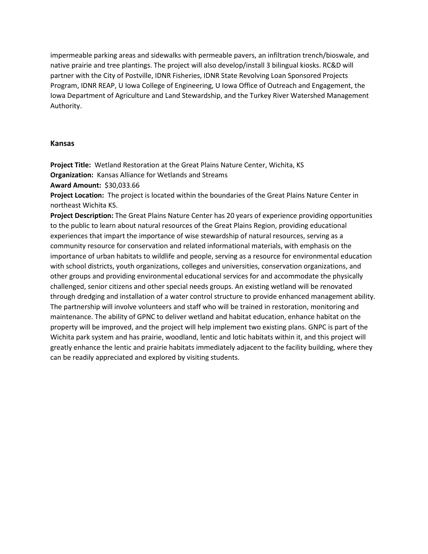impermeable parking areas and sidewalks with permeable pavers, an infiltration trench/bioswale, and native prairie and tree plantings. The project will also develop/install 3 bilingual kiosks. RC&D will partner with the City of Postville, IDNR Fisheries, IDNR State Revolving Loan Sponsored Projects Program, IDNR REAP, U Iowa College of Engineering, U Iowa Office of Outreach and Engagement, the Iowa Department of Agriculture and Land Stewardship, and the Turkey River Watershed Management Authority.

### **Kansas**

**Project Title:** Wetland Restoration at the Great Plains Nature Center, Wichita, KS **Organization:** Kansas Alliance for Wetlands and Streams

**Award Amount:** \$30,033.66

**Project Location:** The project is located within the boundaries of the Great Plains Nature Center in northeast Wichita KS.

**Project Description:** The Great Plains Nature Center has 20 years of experience providing opportunities to the public to learn about natural resources of the Great Plains Region, providing educational experiences that impart the importance of wise stewardship of natural resources, serving as a community resource for conservation and related informational materials, with emphasis on the importance of urban habitats to wildlife and people, serving as a resource for environmental education with school districts, youth organizations, colleges and universities, conservation organizations, and other groups and providing environmental educational services for and accommodate the physically challenged, senior citizens and other special needs groups. An existing wetland will be renovated through dredging and installation of a water control structure to provide enhanced management ability. The partnership will involve volunteers and staff who will be trained in restoration, monitoring and maintenance. The ability of GPNC to deliver wetland and habitat education, enhance habitat on the property will be improved, and the project will help implement two existing plans. GNPC is part of the Wichita park system and has prairie, woodland, lentic and lotic habitats within it, and this project will greatly enhance the lentic and prairie habitats immediately adjacent to the facility building, where they can be readily appreciated and explored by visiting students.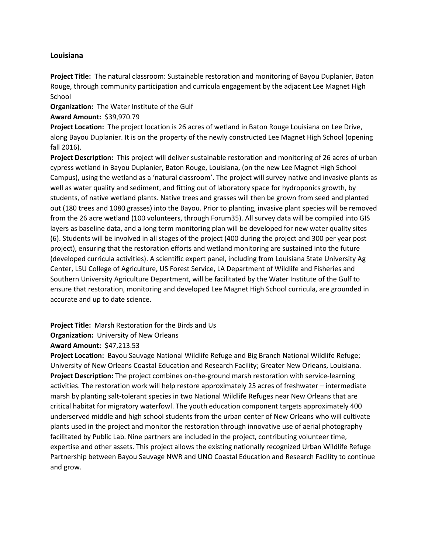### **Louisiana**

**Project Title:** The natural classroom: Sustainable restoration and monitoring of Bayou Duplanier, Baton Rouge, through community participation and curricula engagement by the adjacent Lee Magnet High School

**Organization:** The Water Institute of the Gulf

**Award Amount:** \$39,970.79

**Project Location:** The project location is 26 acres of wetland in Baton Rouge Louisiana on Lee Drive, along Bayou Duplanier. It is on the property of the newly constructed Lee Magnet High School (opening fall 2016).

**Project Description:** This project will deliver sustainable restoration and monitoring of 26 acres of urban cypress wetland in Bayou Duplanier, Baton Rouge, Louisiana, (on the new Lee Magnet High School Campus), using the wetland as a 'natural classroom'. The project will survey native and invasive plants as well as water quality and sediment, and fitting out of laboratory space for hydroponics growth, by students, of native wetland plants. Native trees and grasses will then be grown from seed and planted out (180 trees and 1080 grasses) into the Bayou. Prior to planting, invasive plant species will be removed from the 26 acre wetland (100 volunteers, through Forum35). All survey data will be compiled into GIS layers as baseline data, and a long term monitoring plan will be developed for new water quality sites (6). Students will be involved in all stages of the project (400 during the project and 300 per year post project), ensuring that the restoration efforts and wetland monitoring are sustained into the future (developed curricula activities). A scientific expert panel, including from Louisiana State University Ag Center, LSU College of Agriculture, US Forest Service, LA Department of Wildlife and Fisheries and Southern University Agriculture Department, will be facilitated by the Water Institute of the Gulf to ensure that restoration, monitoring and developed Lee Magnet High School curricula, are grounded in accurate and up to date science.

**Project Title:** Marsh Restoration for the Birds and Us

**Organization:** University of New Orleans

**Award Amount:** \$47,213.53

**Project Location:** Bayou Sauvage National Wildlife Refuge and Big Branch National Wildlife Refuge; University of New Orleans Coastal Education and Research Facility; Greater New Orleans, Louisiana. **Project Description:** The project combines on-the-ground marsh restoration with service-learning activities. The restoration work will help restore approximately 25 acres of freshwater – intermediate marsh by planting salt-tolerant species in two National Wildlife Refuges near New Orleans that are critical habitat for migratory waterfowl. The youth education component targets approximately 400 underserved middle and high school students from the urban center of New Orleans who will cultivate plants used in the project and monitor the restoration through innovative use of aerial photography facilitated by Public Lab. Nine partners are included in the project, contributing volunteer time, expertise and other assets. This project allows the existing nationally recognized Urban Wildlife Refuge Partnership between Bayou Sauvage NWR and UNO Coastal Education and Research Facility to continue and grow.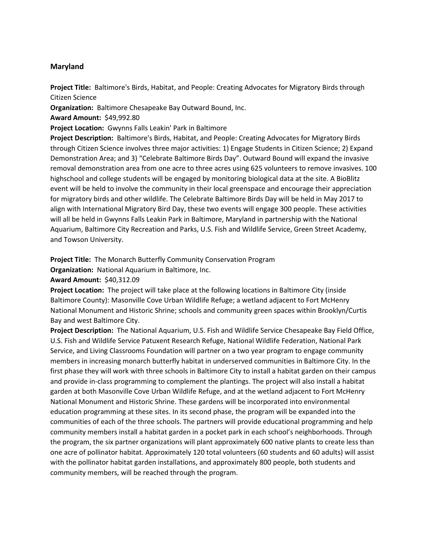## **Maryland**

**Project Title:** Baltimore's Birds, Habitat, and People: Creating Advocates for Migratory Birds through Citizen Science

**Organization:** Baltimore Chesapeake Bay Outward Bound, Inc.

**Award Amount:** \$49,992.80

**Project Location:** Gwynns Falls Leakin' Park in Baltimore

**Project Description:** Baltimore's Birds, Habitat, and People: Creating Advocates for Migratory Birds through Citizen Science involves three major activities: 1) Engage Students in Citizen Science; 2) Expand Demonstration Area; and 3) "Celebrate Baltimore Birds Day". Outward Bound will expand the invasive removal demonstration area from one acre to three acres using 625 volunteers to remove invasives. 100 highschool and college students will be engaged by monitoring biological data at the site. A BioBlitz event will be held to involve the community in their local greenspace and encourage their appreciation for migratory birds and other wildlife. The Celebrate Baltimore Birds Day will be held in May 2017 to align with International Migratory Bird Day, these two events will engage 300 people. These activities will all be held in Gwynns Falls Leakin Park in Baltimore, Maryland in partnership with the National Aquarium, Baltimore City Recreation and Parks, U.S. Fish and Wildlife Service, Green Street Academy, and Towson University.

**Project Title:** The Monarch Butterfly Community Conservation Program

**Organization:** National Aquarium in Baltimore, Inc.

**Award Amount:** \$40,312.09

**Project Location:** The project will take place at the following locations in Baltimore City (inside Baltimore County): Masonville Cove Urban Wildlife Refuge; a wetland adjacent to Fort McHenry National Monument and Historic Shrine; schools and community green spaces within Brooklyn/Curtis Bay and west Baltimore City.

**Project Description:** The National Aquarium, U.S. Fish and Wildlife Service Chesapeake Bay Field Office, U.S. Fish and Wildlife Service Patuxent Research Refuge, National Wildlife Federation, National Park Service, and Living Classrooms Foundation will partner on a two year program to engage community members in increasing monarch butterfly habitat in underserved communities in Baltimore City. In the first phase they will work with three schools in Baltimore City to install a habitat garden on their campus and provide in-class programming to complement the plantings. The project will also install a habitat garden at both Masonville Cove Urban Wildlife Refuge, and at the wetland adjacent to Fort McHenry National Monument and Historic Shrine. These gardens will be incorporated into environmental education programming at these sites. In its second phase, the program will be expanded into the communities of each of the three schools. The partners will provide educational programming and help community members install a habitat garden in a pocket park in each school's neighborhoods. Through the program, the six partner organizations will plant approximately 600 native plants to create less than one acre of pollinator habitat. Approximately 120 total volunteers (60 students and 60 adults) will assist with the pollinator habitat garden installations, and approximately 800 people, both students and community members, will be reached through the program.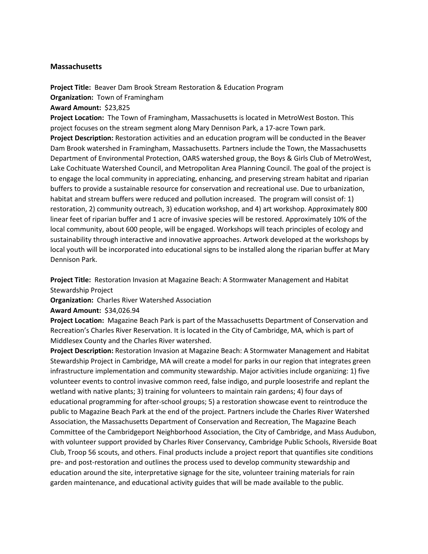### **Massachusetts**

**Project Title:** Beaver Dam Brook Stream Restoration & Education Program **Organization:** Town of Framingham

**Award Amount:** \$23,825

**Project Location:** The Town of Framingham, Massachusetts is located in MetroWest Boston. This project focuses on the stream segment along Mary Dennison Park, a 17-acre Town park.

**Project Description:** Restoration activities and an education program will be conducted in the Beaver Dam Brook watershed in Framingham, Massachusetts. Partners include the Town, the Massachusetts Department of Environmental Protection, OARS watershed group, the Boys & Girls Club of MetroWest, Lake Cochituate Watershed Council, and Metropolitan Area Planning Council. The goal of the project is to engage the local community in appreciating, enhancing, and preserving stream habitat and riparian buffers to provide a sustainable resource for conservation and recreational use. Due to urbanization, habitat and stream buffers were reduced and pollution increased. The program will consist of: 1) restoration, 2) community outreach, 3) education workshop, and 4) art workshop. Approximately 800 linear feet of riparian buffer and 1 acre of invasive species will be restored. Approximately 10% of the local community, about 600 people, will be engaged. Workshops will teach principles of ecology and sustainability through interactive and innovative approaches. Artwork developed at the workshops by local youth will be incorporated into educational signs to be installed along the riparian buffer at Mary Dennison Park.

**Project Title:** Restoration Invasion at Magazine Beach: A Stormwater Management and Habitat Stewardship Project

**Organization:** Charles River Watershed Association

**Award Amount:** \$34,026.94

**Project Location:** Magazine Beach Park is part of the Massachusetts Department of Conservation and Recreation's Charles River Reservation. It is located in the City of Cambridge, MA, which is part of Middlesex County and the Charles River watershed.

**Project Description:** Restoration Invasion at Magazine Beach: A Stormwater Management and Habitat Stewardship Project in Cambridge, MA will create a model for parks in our region that integrates green infrastructure implementation and community stewardship. Major activities include organizing: 1) five volunteer events to control invasive common reed, false indigo, and purple loosestrife and replant the wetland with native plants; 3) training for volunteers to maintain rain gardens; 4) four days of educational programming for after-school groups; 5) a restoration showcase event to reintroduce the public to Magazine Beach Park at the end of the project. Partners include the Charles River Watershed Association, the Massachusetts Department of Conservation and Recreation, The Magazine Beach Committee of the Cambridgeport Neighborhood Association, the City of Cambridge, and Mass Audubon, with volunteer support provided by Charles River Conservancy, Cambridge Public Schools, Riverside Boat Club, Troop 56 scouts, and others. Final products include a project report that quantifies site conditions pre- and post-restoration and outlines the process used to develop community stewardship and education around the site, interpretative signage for the site, volunteer training materials for rain garden maintenance, and educational activity guides that will be made available to the public.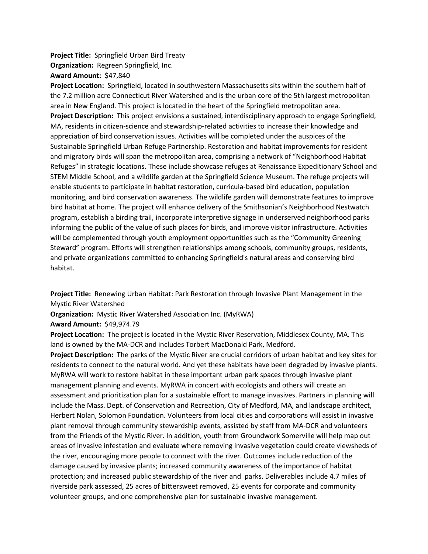# **Project Title:** Springfield Urban Bird Treaty

**Organization:** Regreen Springfield, Inc.

# **Award Amount:** \$47,840

**Project Location:** Springfield, located in southwestern Massachusetts sits within the southern half of the 7.2 million acre Connecticut River Watershed and is the urban core of the 5th largest metropolitan area in New England. This project is located in the heart of the Springfield metropolitan area. **Project Description:** This project envisions a sustained, interdisciplinary approach to engage Springfield, MA, residents in citizen-science and stewardship-related activities to increase their knowledge and appreciation of bird conservation issues. Activities will be completed under the auspices of the Sustainable Springfield Urban Refuge Partnership. Restoration and habitat improvements for resident and migratory birds will span the metropolitan area, comprising a network of "Neighborhood Habitat Refuges" in strategic locations. These include showcase refuges at Renaissance Expeditionary School and STEM Middle School, and a wildlife garden at the Springfield Science Museum. The refuge projects will enable students to participate in habitat restoration, curricula-based bird education, population monitoring, and bird conservation awareness. The wildlife garden will demonstrate features to improve bird habitat at home. The project will enhance delivery of the Smithsonian's Neighborhood Nestwatch program, establish a birding trail, incorporate interpretive signage in underserved neighborhood parks informing the public of the value of such places for birds, and improve visitor infrastructure. Activities will be complemented through youth employment opportunities such as the "Community Greening Steward" program. Efforts will strengthen relationships among schools, community groups, residents, and private organizations committed to enhancing Springfield's natural areas and conserving bird habitat.

**Project Title:** Renewing Urban Habitat: Park Restoration through Invasive Plant Management in the Mystic River Watershed

**Organization:** Mystic River Watershed Association Inc. (MyRWA)

**Award Amount:** \$49,974.79

**Project Location:** The project is located in the Mystic River Reservation, Middlesex County, MA. This land is owned by the MA-DCR and includes Torbert MacDonald Park, Medford.

**Project Description:** The parks of the Mystic River are crucial corridors of urban habitat and key sites for residents to connect to the natural world. And yet these habitats have been degraded by invasive plants. MyRWA will work to restore habitat in these important urban park spaces through invasive plant management planning and events. MyRWA in concert with ecologists and others will create an assessment and prioritization plan for a sustainable effort to manage invasives. Partners in planning will include the Mass. Dept. of Conservation and Recreation, City of Medford, MA, and landscape architect, Herbert Nolan, Solomon Foundation. Volunteers from local cities and corporations will assist in invasive plant removal through community stewardship events, assisted by staff from MA-DCR and volunteers from the Friends of the Mystic River. In addition, youth from Groundwork Somerville will help map out areas of invasive infestation and evaluate where removing invasive vegetation could create viewsheds of the river, encouraging more people to connect with the river. Outcomes include reduction of the damage caused by invasive plants; increased community awareness of the importance of habitat protection; and increased public stewardship of the river and parks. Deliverables include 4.7 miles of riverside park assessed, 25 acres of bittersweet removed, 25 events for corporate and community volunteer groups, and one comprehensive plan for sustainable invasive management.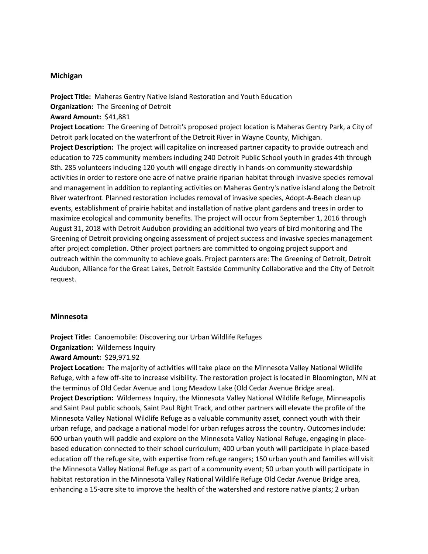#### **Michigan**

**Project Title:** Maheras Gentry Native Island Restoration and Youth Education **Organization:** The Greening of Detroit **Award Amount:** \$41,881 **Project Location:** The Greening of Detroit's proposed project location is Maheras Gentry Park, a City of Detroit park located on the waterfront of the Detroit River in Wayne County, Michigan. **Project Description:** The project will capitalize on increased partner capacity to provide outreach and

education to 725 community members including 240 Detroit Public School youth in grades 4th through 8th. 285 volunteers including 120 youth will engage directly in hands-on community stewardship activities in order to restore one acre of native prairie riparian habitat through invasive species removal and management in addition to replanting activities on Maheras Gentry's native island along the Detroit River waterfront. Planned restoration includes removal of invasive species, Adopt-A-Beach clean up events, establishment of prairie habitat and installation of native plant gardens and trees in order to maximize ecological and community benefits. The project will occur from September 1, 2016 through August 31, 2018 with Detroit Audubon providing an additional two years of bird monitoring and The Greening of Detroit providing ongoing assessment of project success and invasive species management after project completion. Other project partners are committed to ongoing project support and outreach within the community to achieve goals. Project parnters are: The Greening of Detroit, Detroit Audubon, Alliance for the Great Lakes, Detroit Eastside Community Collaborative and the City of Detroit request.

#### **Minnesota**

**Project Title:** Canoemobile: Discovering our Urban Wildlife Refuges

**Organization:** Wilderness Inquiry

#### **Award Amount:** \$29,971.92

**Project Location:** The majority of activities will take place on the Minnesota Valley National Wildlife Refuge, with a few off-site to increase visibility. The restoration project is located in Bloomington, MN at the terminus of Old Cedar Avenue and Long Meadow Lake (Old Cedar Avenue Bridge area). **Project Description:** Wilderness Inquiry, the Minnesota Valley National Wildlife Refuge, Minneapolis and Saint Paul public schools, Saint Paul Right Track, and other partners will elevate the profile of the Minnesota Valley National Wildlife Refuge as a valuable community asset, connect youth with their urban refuge, and package a national model for urban refuges across the country. Outcomes include: 600 urban youth will paddle and explore on the Minnesota Valley National Refuge, engaging in placebased education connected to their school curriculum; 400 urban youth will participate in place-based education off the refuge site, with expertise from refuge rangers; 150 urban youth and families will visit the Minnesota Valley National Refuge as part of a community event; 50 urban youth will participate in habitat restoration in the Minnesota Valley National Wildlife Refuge Old Cedar Avenue Bridge area, enhancing a 15-acre site to improve the health of the watershed and restore native plants; 2 urban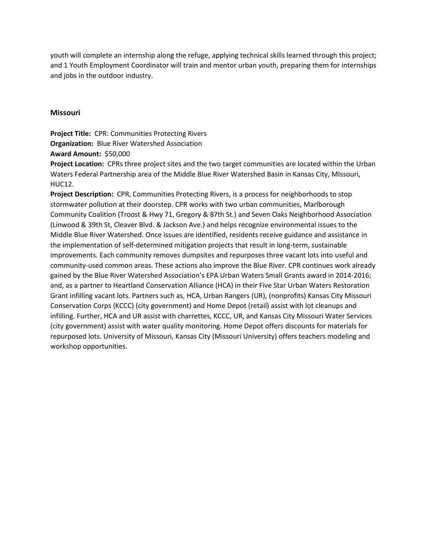youth will complete an internship along the refuge, applying technical skills learned through this project; and 1 Youth Employment Coordinator will train and mentor urban youth, preparing them for internships and jobs in the outdoor industry.

### **Missouri**

**Project Title:** CPR: Communities Protecting Rivers **Organization:** Blue River Watershed Association **Award Amount:** \$50,000

**Project Location:** CPRs three project sites and the two target communities are located within the Urban Waters Federal Partnership area of the Middle Blue River Watershed Basin in Kansas City, MIssouri, HUC12.

**Project Description:** CPR, Communities Protecting Rivers, is a process for neighborhoods to stop stormwater pollution at their doorstep. CPR works with two urban communities, Marlborough Community Coalition (Troost & Hwy 71, Gregory & 87th St.) and Seven Oaks Neighborhood Association (Linwood & 39th St, Cleaver Blvd. & Jackson Ave.) and helps recognize environmental issues to the Middle Blue River Watershed. Once issues are identified, residents receive guidance and assistance in the implementation of self-determined mitigation projects that result in long-term, sustainable improvements. Each community removes dumpsites and repurposes three vacant lots into useful and community-used common areas. These actions also improve the Blue River. CPR continues work already gained by the Blue River Watershed Association's EPA Urban Waters Small Grants award in 2014-2016; and, as a partner to Heartland Conservation Alliance (HCA) in their Five Star Urban Waters Restoration Grant infilling vacant lots. Partners such as, HCA, Urban Rangers (UR), (nonprofits) Kansas City Missouri Conservation Corps (KCCC) (city government) and Home Depot (retail) assist with lot cleanups and infilling. Further, HCA and UR assist with charrettes, KCCC, UR, and Kansas City Missouri Water Services (city government) assist with water quality monitoring. Home Depot offers discounts for materials for repurposed lots. University of Missouri, Kansas City (Missouri University) offers teachers modeling and workshop opportunities.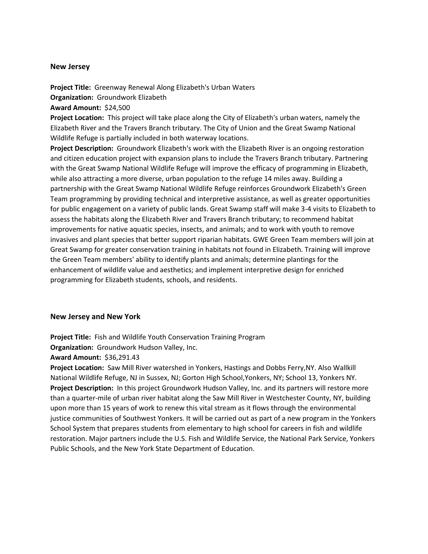### **New Jersey**

**Project Title:** Greenway Renewal Along Elizabeth's Urban Waters **Organization:** Groundwork Elizabeth

**Award Amount:** \$24,500

**Project Location:** This project will take place along the City of Elizabeth's urban waters, namely the Elizabeth River and the Travers Branch tributary. The City of Union and the Great Swamp National Wildlife Refuge is partially included in both waterway locations.

**Project Description:** Groundwork Elizabeth's work with the Elizabeth River is an ongoing restoration and citizen education project with expansion plans to include the Travers Branch tributary. Partnering with the Great Swamp National Wildlife Refuge will improve the efficacy of programming in Elizabeth, while also attracting a more diverse, urban population to the refuge 14 miles away. Building a partnership with the Great Swamp National Wildlife Refuge reinforces Groundwork Elizabeth's Green Team programming by providing technical and interpretive assistance, as well as greater opportunities for public engagement on a variety of public lands. Great Swamp staff will make 3-4 visits to Elizabeth to assess the habitats along the Elizabeth River and Travers Branch tributary; to recommend habitat improvements for native aquatic species, insects, and animals; and to work with youth to remove invasives and plant species that better support riparian habitats. GWE Green Team members will join at Great Swamp for greater conservation training in habitats not found in Elizabeth. Training will improve the Green Team members' ability to identify plants and animals; determine plantings for the enhancement of wildlife value and aesthetics; and implement interpretive design for enriched programming for Elizabeth students, schools, and residents.

#### **New Jersey and New York**

**Project Title:** Fish and Wildlife Youth Conservation Training Program

**Organization:** Groundwork Hudson Valley, Inc.

**Award Amount:** \$36,291.43

**Project Location:** Saw Mill River watershed in Yonkers, Hastings and Dobbs Ferry,NY. Also Wallkill National Wildlife Refuge, NJ in Sussex, NJ; Gorton High School,Yonkers, NY; School 13, Yonkers NY. **Project Description:** In this project Groundwork Hudson Valley, Inc. and its partners will restore more than a quarter-mile of urban river habitat along the Saw Mill River in Westchester County, NY, building upon more than 15 years of work to renew this vital stream as it flows through the environmental justice communities of Southwest Yonkers. It will be carried out as part of a new program in the Yonkers School System that prepares students from elementary to high school for careers in fish and wildlife restoration. Major partners include the U.S. Fish and Wildlife Service, the National Park Service, Yonkers Public Schools, and the New York State Department of Education.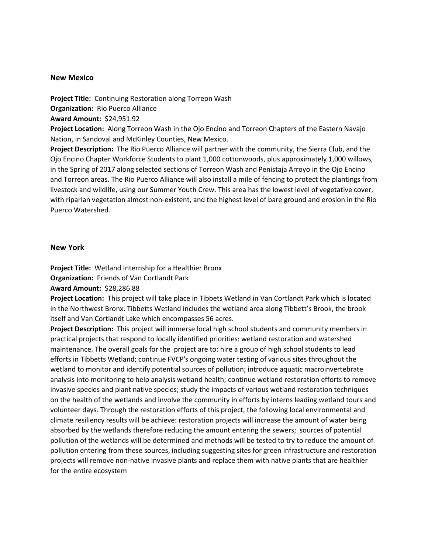### **New Mexico**

**Project Title:** Continuing Restoration along Torreon Wash **Organization:** Rio Puerco Alliance **Award Amount:** \$24,951.92 **Project Location:** Along Torreon Wash in the Ojo Encino and Torreon Chapters of the Eastern Navajo Nation, in Sandoval and McKinley Counties, New Mexico. **Project Description:** The Rio Puerco Alliance will partner with the community, the Sierra Club, and the Ojo Encino Chapter Workforce Students to plant 1,000 cottonwoods, plus approximately 1,000 willows, in the Spring of 2017 along selected sections of Torreon Wash and Penistaja Arroyo in the Ojo Encino and Torreon areas. The Rio Puerco Alliance will also install a mile of fencing to protect the plantings from livestock and wildlife, using our Summer Youth Crew. This area has the lowest level of vegetative cover,

with riparian vegetation almost non-existent, and the highest level of bare ground and erosion in the Rio Puerco Watershed.

#### **New York**

**Project Title:** Wetland Internship for a Healthier Bronx

**Organization:** Friends of Van Cortlandt Park

**Award Amount:** \$28,286.88

**Project Location:** This project will take place in Tibbets Wetland in Van Cortlandt Park which is located in the Northwest Bronx. Tibbetts Wetland includes the wetland area along Tibbett's Brook, the brook itself and Van Cortlandt Lake which encompasses 56 acres.

**Project Description:** This project will immerse local high school students and community members in practical projects that respond to locally identified priorities: wetland restoration and watershed maintenance. The overall goals for the project are to: hire a group of high school students to lead efforts in Tibbetts Wetland; continue FVCP's ongoing water testing of various sites throughout the wetland to monitor and identify potential sources of pollution; introduce aquatic macroinvertebrate analysis into monitoring to help analysis wetland health; continue wetland restoration efforts to remove invasive species and plant native species; study the impacts of various wetland restoration techniques on the health of the wetlands and involve the community in efforts by interns leading wetland tours and volunteer days. Through the restoration efforts of this project, the following local environmental and climate resiliency results will be achieve: restoration projects will increase the amount of water being absorbed by the wetlands therefore reducing the amount entering the sewers; sources of potential pollution of the wetlands will be determined and methods will be tested to try to reduce the amount of pollution entering from these sources, including suggesting sites for green infrastructure and restoration projects will remove non-native invasive plants and replace them with native plants that are healthier for the entire ecosystem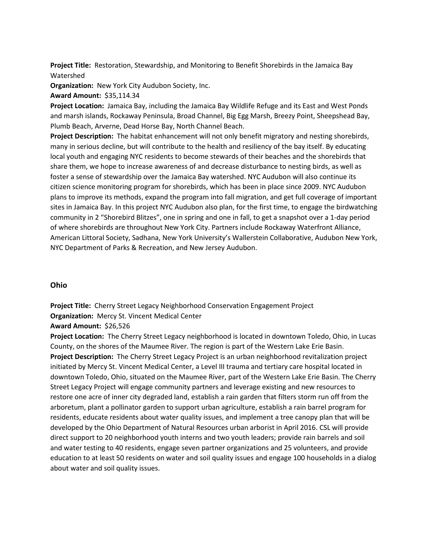**Project Title:** Restoration, Stewardship, and Monitoring to Benefit Shorebirds in the Jamaica Bay Watershed

**Organization:** New York City Audubon Society, Inc.

**Award Amount:** \$35,114.34

**Project Location:** Jamaica Bay, including the Jamaica Bay Wildlife Refuge and its East and West Ponds and marsh islands, Rockaway Peninsula, Broad Channel, Big Egg Marsh, Breezy Point, Sheepshead Bay, Plumb Beach, Arverne, Dead Horse Bay, North Channel Beach.

**Project Description:** The habitat enhancement will not only benefit migratory and nesting shorebirds, many in serious decline, but will contribute to the health and resiliency of the bay itself. By educating local youth and engaging NYC residents to become stewards of their beaches and the shorebirds that share them, we hope to increase awareness of and decrease disturbance to nesting birds, as well as foster a sense of stewardship over the Jamaica Bay watershed. NYC Audubon will also continue its citizen science monitoring program for shorebirds, which has been in place since 2009. NYC Audubon plans to improve its methods, expand the program into fall migration, and get full coverage of important sites in Jamaica Bay. In this project NYC Audubon also plan, for the first time, to engage the birdwatching community in 2 "Shorebird Blitzes", one in spring and one in fall, to get a snapshot over a 1-day period of where shorebirds are throughout New York City. Partners include Rockaway Waterfront Alliance, American Littoral Society, Sadhana, New York University's Wallerstein Collaborative, Audubon New York, NYC Department of Parks & Recreation, and New Jersey Audubon.

### **Ohio**

**Project Title:** Cherry Street Legacy Neighborhood Conservation Engagement Project **Organization:** Mercy St. Vincent Medical Center

**Award Amount:** \$26,526

**Project Location:** The Cherry Street Legacy neighborhood is located in downtown Toledo, Ohio, in Lucas County, on the shores of the Maumee River. The region is part of the Western Lake Erie Basin. **Project Description:** The Cherry Street Legacy Project is an urban neighborhood revitalization project initiated by Mercy St. Vincent Medical Center, a Level III trauma and tertiary care hospital located in downtown Toledo, Ohio, situated on the Maumee River, part of the Western Lake Erie Basin. The Cherry Street Legacy Project will engage community partners and leverage existing and new resources to restore one acre of inner city degraded land, establish a rain garden that filters storm run off from the arboretum, plant a pollinator garden to support urban agriculture, establish a rain barrel program for residents, educate residents about water quality issues, and implement a tree canopy plan that will be developed by the Ohio Department of Natural Resources urban arborist in April 2016. CSL will provide direct support to 20 neighborhood youth interns and two youth leaders; provide rain barrels and soil and water testing to 40 residents, engage seven partner organizations and 25 volunteers, and provide education to at least 50 residents on water and soil quality issues and engage 100 households in a dialog about water and soil quality issues.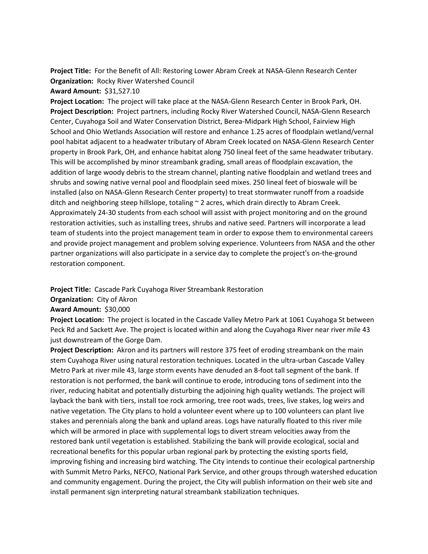# **Project Title:** For the Benefit of All: Restoring Lower Abram Creek at NASA-Glenn Research Center **Organization:** Rocky River Watershed Council

### **Award Amount:** \$31,527.10

**Project Location:** The project will take place at the NASA-Glenn Research Center in Brook Park, OH. **Project Description:** Project partners, including Rocky River Watershed Council, NASA-Glenn Research Center, Cuyahoga Soil and Water Conservation District, Berea-Midpark High School, Fairview High School and Ohio Wetlands Association will restore and enhance 1.25 acres of floodplain wetland/vernal pool habitat adjacent to a headwater tributary of Abram Creek located on NASA-Glenn Research Center property in Brook Park, OH, and enhance habitat along 750 lineal feet of the same headwater tributary. This will be accomplished by minor streambank grading, small areas of floodplain excavation, the addition of large woody debris to the stream channel, planting native floodplain and wetland trees and shrubs and sowing native vernal pool and floodplain seed mixes. 250 lineal feet of bioswale will be installed (also on NASA-Glenn Research Center property) to treat stormwater runoff from a roadside ditch and neighboring steep hillslope, totaling ~ 2 acres, which drain directly to Abram Creek. Approximately 24-30 students from each school will assist with project monitoring and on the ground restoration activities, such as installing trees, shrubs and native seed. Partners will incorporate a lead team of students into the project management team in order to expose them to environmental careers and provide project management and problem solving experience. Volunteers from NASA and the other partner organizations will also participate in a service day to complete the project's on-the-ground restoration component.

**Project Title:** Cascade Park Cuyahoga River Streambank Restoration

**Organization:** City of Akron

**Award Amount:** \$30,000

**Project Location:** The project is located in the Cascade Valley Metro Park at 1061 Cuyahoga St between Peck Rd and Sackett Ave. The project is located within and along the Cuyahoga River near river mile 43 just downstream of the Gorge Dam.

**Project Description:** Akron and its partners will restore 375 feet of eroding streambank on the main stem Cuyahoga River using natural restoration techniques. Located in the ultra-urban Cascade Valley Metro Park at river mile 43, large storm events have denuded an 8-foot tall segment of the bank. If restoration is not performed, the bank will continue to erode, introducing tons of sediment into the river, reducing habitat and potentially disturbing the adjoining high quality wetlands. The project will layback the bank with tiers, install toe rock armoring, tree root wads, trees, live stakes, log weirs and native vegetation. The City plans to hold a volunteer event where up to 100 volunteers can plant live stakes and perennials along the bank and upland areas. Logs have naturally floated to this river mile which will be armored in place with supplemental logs to divert stream velocities away from the restored bank until vegetation is established. Stabilizing the bank will provide ecological, social and recreational benefits for this popular urban regional park by protecting the existing sports field, improving fishing and increasing bird watching. The City intends to continue their ecological partnership with Summit Metro Parks, NEFCO, National Park Service, and other groups through watershed education and community engagement. During the project, the City will publish information on their web site and install permanent sign interpreting natural streambank stabilization techniques.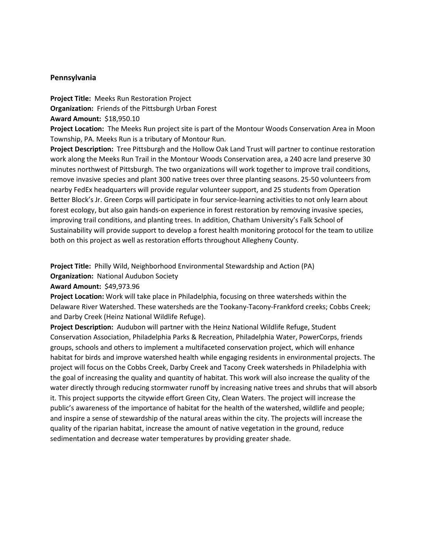### **Pennsylvania**

**Project Title:** Meeks Run Restoration Project **Organization:** Friends of the Pittsburgh Urban Forest **Award Amount:** \$18,950.10

**Project Location:** The Meeks Run project site is part of the Montour Woods Conservation Area in Moon Township, PA. Meeks Run is a tributary of Montour Run.

**Project Description:** Tree Pittsburgh and the Hollow Oak Land Trust will partner to continue restoration work along the Meeks Run Trail in the Montour Woods Conservation area, a 240 acre land preserve 30 minutes northwest of Pittsburgh. The two organizations will work together to improve trail conditions, remove invasive species and plant 300 native trees over three planting seasons. 25-50 volunteers from nearby FedEx headquarters will provide regular volunteer support, and 25 students from Operation Better Block's Jr. Green Corps will participate in four service-learning activities to not only learn about forest ecology, but also gain hands-on experience in forest restoration by removing invasive species, improving trail conditions, and planting trees. In addition, Chatham University's Falk School of Sustainability will provide support to develop a forest health monitoring protocol for the team to utilize both on this project as well as restoration efforts throughout Allegheny County.

**Project Title:** Philly Wild, Neighborhood Environmental Stewardship and Action (PA) **Organization:** National Audubon Society

**Award Amount:** \$49,973.96

**Project Location:** Work will take place in Philadelphia, focusing on three watersheds within the Delaware River Watershed. These watersheds are the Tookany-Tacony-Frankford creeks; Cobbs Creek; and Darby Creek (Heinz National Wildlife Refuge).

**Project Description:** Audubon will partner with the Heinz National Wildlife Refuge, Student Conservation Association, Philadelphia Parks & Recreation, Philadelphia Water, PowerCorps, friends groups, schools and others to implement a multifaceted conservation project, which will enhance habitat for birds and improve watershed health while engaging residents in environmental projects. The project will focus on the Cobbs Creek, Darby Creek and Tacony Creek watersheds in Philadelphia with the goal of increasing the quality and quantity of habitat. This work will also increase the quality of the water directly through reducing stormwater runoff by increasing native trees and shrubs that will absorb it. This project supports the citywide effort Green City, Clean Waters. The project will increase the public's awareness of the importance of habitat for the health of the watershed, wildlife and people; and inspire a sense of stewardship of the natural areas within the city. The projects will increase the quality of the riparian habitat, increase the amount of native vegetation in the ground, reduce sedimentation and decrease water temperatures by providing greater shade.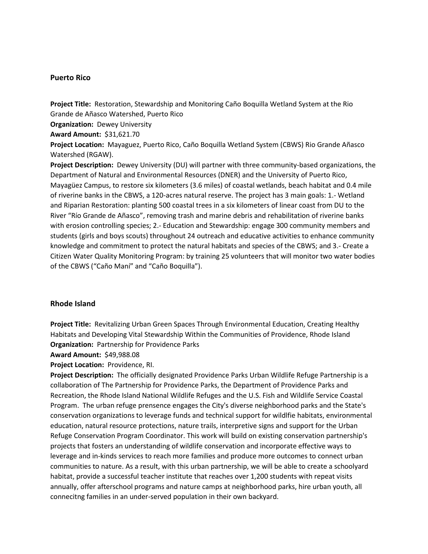### **Puerto Rico**

**Project Title:** Restoration, Stewardship and Monitoring Caño Boquilla Wetland System at the Rio Grande de Añasco Watershed, Puerto Rico

**Organization:** Dewey University

**Award Amount:** \$31,621.70

**Project Location:** Mayaguez, Puerto Rico, Caño Boquilla Wetland System (CBWS) Rio Grande Añasco Watershed (RGAW).

**Project Description:** Dewey University (DU) will partner with three community-based organizations, the Department of Natural and Environmental Resources (DNER) and the University of Puerto Rico, Mayagüez Campus, to restore six kilometers (3.6 miles) of coastal wetlands, beach habitat and 0.4 mile of riverine banks in the CBWS, a 120-acres natural reserve. The project has 3 main goals: 1.- Wetland and Riparian Restoration: planting 500 coastal trees in a six kilometers of linear coast from DU to the River "Río Grande de Añasco", removing trash and marine debris and rehabilitation of riverine banks with erosion controlling species; 2.- Education and Stewardship: engage 300 community members and students (girls and boys scouts) throughout 24 outreach and educative activities to enhance community knowledge and commitment to protect the natural habitats and species of the CBWS; and 3.- Create a Citizen Water Quality Monitoring Program: by training 25 volunteers that will monitor two water bodies of the CBWS ("Caño Maní" and "Caño Boquilla").

### **Rhode Island**

**Project Title:** Revitalizing Urban Green Spaces Through Environmental Education, Creating Healthy Habitats and Developing Vital Stewardship Within the Communities of Providence, Rhode Island **Organization:** Partnership for Providence Parks

**Award Amount:** \$49,988.08

**Project Location:** Providence, RI.

**Project Description:** The officially designated Providence Parks Urban Wildlife Refuge Partnership is a collaboration of The Partnership for Providence Parks, the Department of Providence Parks and Recreation, the Rhode Island National Wildlife Refuges and the U.S. Fish and Wildlife Service Coastal Program. The urban refuge prensence engages the City's diverse neighborhood parks and the State's conservation organizations to leverage funds and technical support for wildlfie habitats, environmental education, natural resource protections, nature trails, interpretive signs and support for the Urban Refuge Conservation Program Coordinator. This work will build on existing conservation partnership's projects that fosters an understanding of wildlife conservation and incorporate effective ways to leverage and in-kinds services to reach more families and produce more outcomes to connect urban communities to nature. As a result, with this urban partnership, we will be able to create a schoolyard habitat, provide a successful teacher institute that reaches over 1,200 students with repeat visits annually, offer afterschool programs and nature camps at neighborhood parks, hire urban youth, all connecitng families in an under-served population in their own backyard.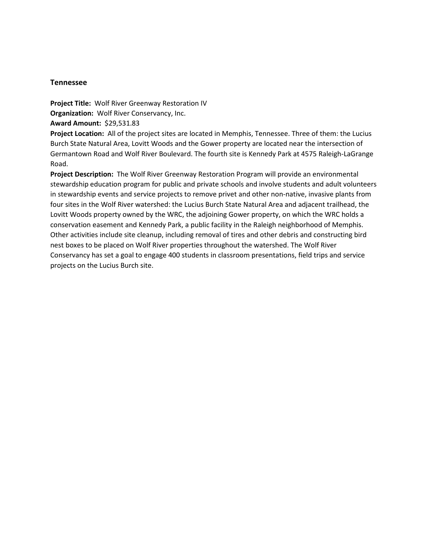### **Tennessee**

**Project Title:** Wolf River Greenway Restoration IV **Organization:** Wolf River Conservancy, Inc.

**Award Amount:** \$29,531.83

**Project Location:** All of the project sites are located in Memphis, Tennessee. Three of them: the Lucius Burch State Natural Area, Lovitt Woods and the Gower property are located near the intersection of Germantown Road and Wolf River Boulevard. The fourth site is Kennedy Park at 4575 Raleigh-LaGrange Road.

**Project Description:** The Wolf River Greenway Restoration Program will provide an environmental stewardship education program for public and private schools and involve students and adult volunteers in stewardship events and service projects to remove privet and other non-native, invasive plants from four sites in the Wolf River watershed: the Lucius Burch State Natural Area and adjacent trailhead, the Lovitt Woods property owned by the WRC, the adjoining Gower property, on which the WRC holds a conservation easement and Kennedy Park, a public facility in the Raleigh neighborhood of Memphis. Other activities include site cleanup, including removal of tires and other debris and constructing bird nest boxes to be placed on Wolf River properties throughout the watershed. The Wolf River Conservancy has set a goal to engage 400 students in classroom presentations, field trips and service projects on the Lucius Burch site.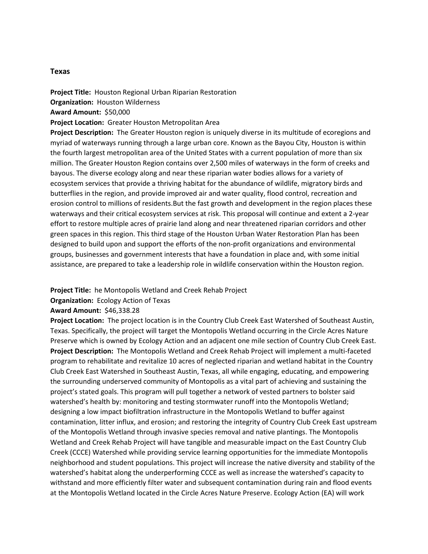### **Texas**

**Project Title:** Houston Regional Urban Riparian Restoration **Organization:** Houston Wilderness **Award Amount:** \$50,000 **Project Location:** Greater Houston Metropolitan Area **Project Description:** The Greater Houston region is uniquely diverse in its multitude of ecoregions and

myriad of waterways running through a large urban core. Known as the Bayou City, Houston is within the fourth largest metropolitan area of the United States with a current population of more than six million. The Greater Houston Region contains over 2,500 miles of waterways in the form of creeks and bayous. The diverse ecology along and near these riparian water bodies allows for a variety of ecosystem services that provide a thriving habitat for the abundance of wildlife, migratory birds and butterflies in the region, and provide improved air and water quality, flood control, recreation and erosion control to millions of residents.But the fast growth and development in the region places these waterways and their critical ecosystem services at risk. This proposal will continue and extent a 2-year effort to restore multiple acres of prairie land along and near threatened riparian corridors and other green spaces in this region. This third stage of the Houston Urban Water Restoration Plan has been designed to build upon and support the efforts of the non-profit organizations and environmental groups, businesses and government interests that have a foundation in place and, with some initial assistance, are prepared to take a leadership role in wildlife conservation within the Houston region.

#### **Project Title:** he Montopolis Wetland and Creek Rehab Project

**Organization:** Ecology Action of Texas

#### **Award Amount:** \$46,338.28

**Project Location:** The project location is in the Country Club Creek East Watershed of Southeast Austin, Texas. Specifically, the project will target the Montopolis Wetland occurring in the Circle Acres Nature Preserve which is owned by Ecology Action and an adjacent one mile section of Country Club Creek East. **Project Description:** The Montopolis Wetland and Creek Rehab Project will implement a multi-faceted program to rehabilitate and revitalize 10 acres of neglected riparian and wetland habitat in the Country Club Creek East Watershed in Southeast Austin, Texas, all while engaging, educating, and empowering the surrounding underserved community of Montopolis as a vital part of achieving and sustaining the project's stated goals. This program will pull together a network of vested partners to bolster said watershed's health by: monitoring and testing stormwater runoff into the Montopolis Wetland; designing a low impact biofiltration infrastructure in the Montopolis Wetland to buffer against contamination, litter influx, and erosion; and restoring the integrity of Country Club Creek East upstream of the Montopolis Wetland through invasive species removal and native plantings. The Montopolis Wetland and Creek Rehab Project will have tangible and measurable impact on the East Country Club Creek (CCCE) Watershed while providing service learning opportunities for the immediate Montopolis neighborhood and student populations. This project will increase the native diversity and stability of the watershed's habitat along the underperforming CCCE as well as increase the watershed's capacity to withstand and more efficiently filter water and subsequent contamination during rain and flood events at the Montopolis Wetland located in the Circle Acres Nature Preserve. Ecology Action (EA) will work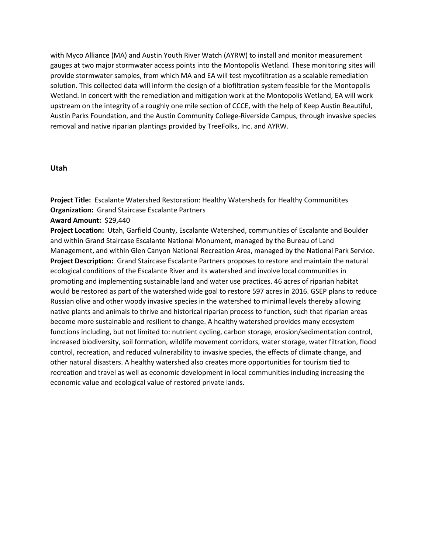with Myco Alliance (MA) and Austin Youth River Watch (AYRW) to install and monitor measurement gauges at two major stormwater access points into the Montopolis Wetland. These monitoring sites will provide stormwater samples, from which MA and EA will test mycofiltration as a scalable remediation solution. This collected data will inform the design of a biofiltration system feasible for the Montopolis Wetland. In concert with the remediation and mitigation work at the Montopolis Wetland, EA will work upstream on the integrity of a roughly one mile section of CCCE, with the help of Keep Austin Beautiful, Austin Parks Foundation, and the Austin Community College-Riverside Campus, through invasive species removal and native riparian plantings provided by TreeFolks, Inc. and AYRW.

#### **Utah**

**Project Title:** Escalante Watershed Restoration: Healthy Watersheds for Healthy Communitites **Organization:** Grand Staircase Escalante Partners

#### **Award Amount:** \$29,440

**Project Location:** Utah, Garfield County, Escalante Watershed, communities of Escalante and Boulder and within Grand Staircase Escalante National Monument, managed by the Bureau of Land Management, and within Glen Canyon National Recreation Area, managed by the National Park Service. **Project Description:** Grand Staircase Escalante Partners proposes to restore and maintain the natural ecological conditions of the Escalante River and its watershed and involve local communities in promoting and implementing sustainable land and water use practices. 46 acres of riparian habitat would be restored as part of the watershed wide goal to restore 597 acres in 2016. GSEP plans to reduce Russian olive and other woody invasive species in the watershed to minimal levels thereby allowing native plants and animals to thrive and historical riparian process to function, such that riparian areas become more sustainable and resilient to change. A healthy watershed provides many ecosystem functions including, but not limited to: nutrient cycling, carbon storage, erosion/sedimentation control, increased biodiversity, soil formation, wildlife movement corridors, water storage, water filtration, flood control, recreation, and reduced vulnerability to invasive species, the effects of climate change, and other natural disasters. A healthy watershed also creates more opportunities for tourism tied to recreation and travel as well as economic development in local communities including increasing the economic value and ecological value of restored private lands.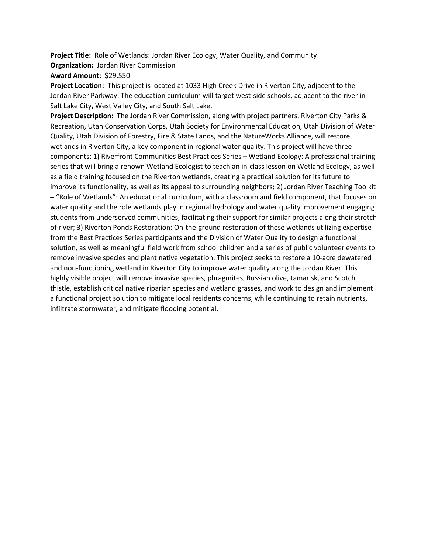**Project Title:** Role of Wetlands: Jordan River Ecology, Water Quality, and Community **Organization:** Jordan River Commission

### **Award Amount:** \$29,550

**Project Location:** This project is located at 1033 High Creek Drive in Riverton City, adjacent to the Jordan River Parkway. The education curriculum will target west-side schools, adjacent to the river in Salt Lake City, West Valley City, and South Salt Lake.

**Project Description:** The Jordan River Commission, along with project partners, Riverton City Parks & Recreation, Utah Conservation Corps, Utah Society for Environmental Education, Utah Division of Water Quality, Utah Division of Forestry, Fire & State Lands, and the NatureWorks Alliance, will restore wetlands in Riverton City, a key component in regional water quality. This project will have three components: 1) Riverfront Communities Best Practices Series – Wetland Ecology: A professional training series that will bring a renown Wetland Ecologist to teach an in-class lesson on Wetland Ecology, as well as a field training focused on the Riverton wetlands, creating a practical solution for its future to improve its functionality, as well as its appeal to surrounding neighbors; 2) Jordan River Teaching Toolkit – "Role of Wetlands": An educational curriculum, with a classroom and field component, that focuses on water quality and the role wetlands play in regional hydrology and water quality improvement engaging students from underserved communities, facilitating their support for similar projects along their stretch of river; 3) Riverton Ponds Restoration: On-the-ground restoration of these wetlands utilizing expertise from the Best Practices Series participants and the Division of Water Quality to design a functional solution, as well as meaningful field work from school children and a series of public volunteer events to remove invasive species and plant native vegetation. This project seeks to restore a 10-acre dewatered and non-functioning wetland in Riverton City to improve water quality along the Jordan River. This highly visible project will remove invasive species, phragmites, Russian olive, tamarisk, and Scotch thistle, establish critical native riparian species and wetland grasses, and work to design and implement a functional project solution to mitigate local residents concerns, while continuing to retain nutrients, infiltrate stormwater, and mitigate flooding potential.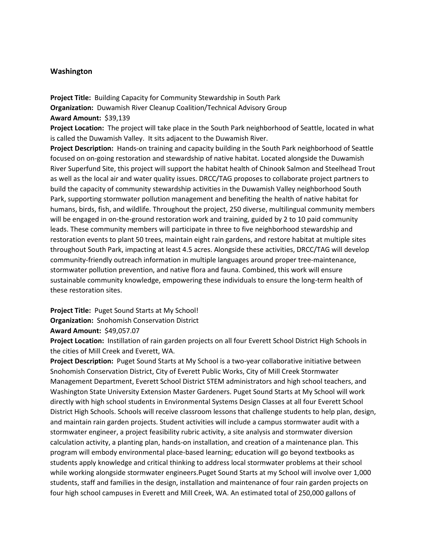### **Washington**

**Project Title:** Building Capacity for Community Stewardship in South Park **Organization:** Duwamish River Cleanup Coalition/Technical Advisory Group **Award Amount:** \$39,139

**Project Location:** The project will take place in the South Park neighborhood of Seattle, located in what is called the Duwamish Valley. It sits adjacent to the Duwamish River.

**Project Description:** Hands-on training and capacity building in the South Park neighborhood of Seattle focused on on-going restoration and stewardship of native habitat. Located alongside the Duwamish River Superfund Site, this project will support the habitat health of Chinook Salmon and Steelhead Trout as well as the local air and water quality issues. DRCC/TAG proposes to collaborate project partners to build the capacity of community stewardship activities in the Duwamish Valley neighborhood South Park, supporting stormwater pollution management and benefiting the health of native habitat for humans, birds, fish, and wildlife. Throughout the project, 250 diverse, multilingual community members will be engaged in on-the-ground restoration work and training, guided by 2 to 10 paid community leads. These community members will participate in three to five neighborhood stewardship and restoration events to plant 50 trees, maintain eight rain gardens, and restore habitat at multiple sites throughout South Park, impacting at least 4.5 acres. Alongside these activities, DRCC/TAG will develop community-friendly outreach information in multiple languages around proper tree-maintenance, stormwater pollution prevention, and native flora and fauna. Combined, this work will ensure sustainable community knowledge, empowering these individuals to ensure the long-term health of these restoration sites.

**Project Title:** Puget Sound Starts at My School! **Organization:** Snohomish Conservation District **Award Amount:** \$49,057.07

**Project Location:** Instillation of rain garden projects on all four Everett School District High Schools in the cities of Mill Creek and Everett, WA.

**Project Description:** Puget Sound Starts at My School is a two-year collaborative initiative between Snohomish Conservation District, City of Everett Public Works, City of Mill Creek Stormwater Management Department, Everett School District STEM administrators and high school teachers, and Washington State University Extension Master Gardeners. Puget Sound Starts at My School will work directly with high school students in Environmental Systems Design Classes at all four Everett School District High Schools. Schools will receive classroom lessons that challenge students to help plan, design, and maintain rain garden projects. Student activities will include a campus stormwater audit with a stormwater engineer, a project feasibility rubric activity, a site analysis and stormwater diversion calculation activity, a planting plan, hands-on installation, and creation of a maintenance plan. This program will embody environmental place-based learning; education will go beyond textbooks as students apply knowledge and critical thinking to address local stormwater problems at their school while working alongside stormwater engineers.Puget Sound Starts at my School will involve over 1,000 students, staff and families in the design, installation and maintenance of four rain garden projects on four high school campuses in Everett and Mill Creek, WA. An estimated total of 250,000 gallons of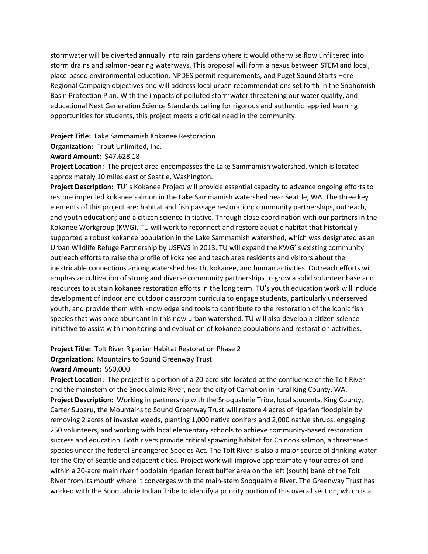stormwater will be diverted annually into rain gardens where it would otherwise flow unfiltered into storm drains and salmon-bearing waterways. This proposal will form a nexus between STEM and local, place-based environmental education, NPDES permit requirements, and Puget Sound Starts Here Regional Campaign objectives and will address local urban recommendations set forth in the Snohomish Basin Protection Plan. With the impacts of polluted stormwater threatening our water quality, and educational Next Generation Science Standards calling for rigorous and authentic applied learning opportunities for students, this project meets a critical need in the community.

### **Project Title:** Lake Sammamish Kokanee Restoration

**Organization:** Trout Unlimited, Inc.

### **Award Amount:** \$47,628.18

**Project Location:** The project area encompasses the Lake Sammamish watershed, which is located approximately 10 miles east of Seattle, Washington.

**Project Description:** TU' s Kokanee Project will provide essential capacity to advance ongoing efforts to restore imperiled kokanee salmon in the Lake Sammamish watershed near Seattle, WA. The three key elements of this project are: habitat and fish passage restoration; community partnerships, outreach, and youth education; and a citizen science initiative. Through close coordination with our partners in the Kokanee Workgroup (KWG), TU will work to reconnect and restore aquatic habitat that historically supported a robust kokanee population in the Lake Sammamish watershed, which was designated as an Urban Wildlife Refuge Partnership by USFWS in 2013. TU will expand the KWG' s existing community outreach efforts to raise the profile of kokanee and teach area residents and visitors about the inextricable connections among watershed health, kokanee, and human activities. Outreach efforts will emphasize cultivation of strong and diverse community partnerships to grow a solid volunteer base and resources to sustain kokanee restoration efforts in the long term. TU's youth education work will include development of indoor and outdoor classroom curricula to engage students, particularly underserved youth, and provide them with knowledge and tools to contribute to the restoration of the iconic fish species that was once abundant in this now urban watershed. TU will also develop a citizen science initiative to assist with monitoring and evaluation of kokanee populations and restoration activities.

#### **Project Title:** Tolt River Riparian Habitat Restoration Phase 2

**Organization:** Mountains to Sound Greenway Trust

#### **Award Amount:** \$50,000

**Project Location:** The project is a portion of a 20-acre site located at the confluence of the Tolt River and the mainstem of the Snoqualmie River, near the city of Carnation in rural King County, WA. **Project Description:** Working in partnership with the Snoqualmie Tribe, local students, King County, Carter Subaru, the Mountains to Sound Greenway Trust will restore 4 acres of riparian floodplain by removing 2 acres of invasive weeds, planting 1,000 native conifers and 2,000 native shrubs, engaging 250 volunteers, and working with local elementary schools to achieve community-based restoration success and education. Both rivers provide critical spawning habitat for Chinook salmon, a threatened species under the federal Endangered Species Act. The Tolt River is also a major source of drinking water for the City of Seattle and adjacent cities. Project work will improve approximately four acres of land within a 20-acre main river floodplain riparian forest buffer area on the left (south) bank of the Tolt River from its mouth where it converges with the main-stem Snoqualmie River. The Greenway Trust has worked with the Snoqualmie Indian Tribe to identify a priority portion of this overall section, which is a